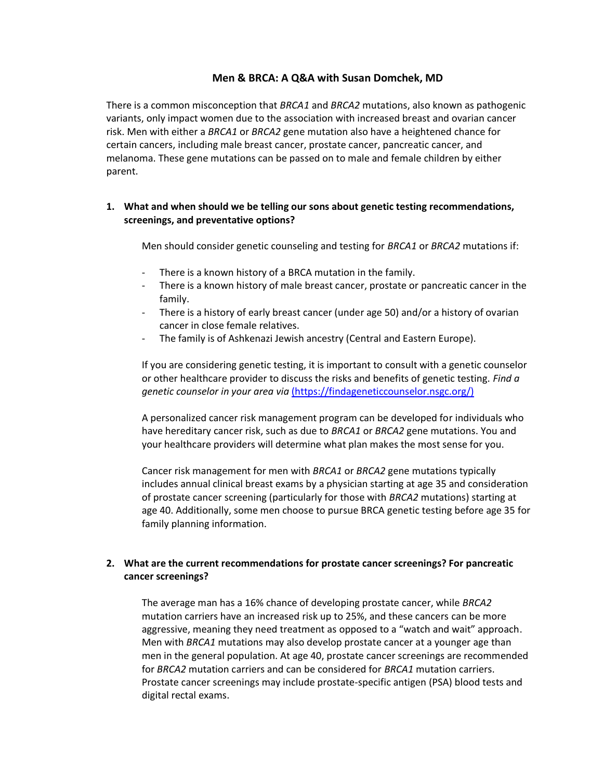### **Men & BRCA: A Q&A with Susan Domchek, MD**

There is a common misconception that *BRCA1* and *BRCA2* mutations, also known as pathogenic variants, only impact women due to the association with increased breast and ovarian cancer risk. Men with either a *BRCA1* or *BRCA2* gene mutation also have a heightened chance for certain cancers, including male breast cancer, prostate cancer, pancreatic cancer, and melanoma. These gene mutations can be passed on to male and female children by either parent.

### **1. What and when should we be telling our sons about genetic testing recommendations, screenings, and preventative options?**

Men should consider genetic counseling and testing for *BRCA1* or *BRCA2* mutations if:

- There is a known history of a BRCA mutation in the family.
- There is a known history of male breast cancer, prostate or pancreatic cancer in the family.
- There is a history of early breast cancer (under age 50) and/or a history of ovarian cancer in close female relatives.
- The family is of Ashkenazi Jewish ancestry (Central and Eastern Europe).

If you are considering genetic testing, it is important to consult with a genetic counselor or other healthcare provider to discuss the risks and benefits of genetic testing. *Find a genetic counselor in your area via* [\(https://findageneticcounselor.nsgc.org/\)](file:///C:/Users/stearman/AppData/Local/Microsoft/Windows/INetCache/Content.Outlook/F8L1WB6O/(https:/findageneticcounselor.nsgc.org/))

A personalized cancer risk management program can be developed for individuals who have hereditary cancer risk, such as due to *BRCA1* or *BRCA2* gene mutations. You and your healthcare providers will determine what plan makes the most sense for you.

Cancer risk management for men with *BRCA1* or *BRCA2* gene mutations typically includes annual clinical breast exams by a physician starting at age 35 and consideration of prostate cancer screening (particularly for those with *BRCA2* mutations) starting at age 40. Additionally, some men choose to pursue BRCA genetic testing before age 35 for family planning information.

# **2. What are the current recommendations for prostate cancer screenings? For pancreatic cancer screenings?**

The average man has a 16% chance of developing prostate cancer, while *BRCA2*  mutation carriers have an increased risk up to 25%, and these cancers can be more aggressive, meaning they need treatment as opposed to a "watch and wait" approach. Men with *BRCA1* mutations may also develop prostate cancer at a younger age than men in the general population. At age 40, prostate cancer screenings are recommended for *BRCA2* mutation carriers and can be considered for *BRCA1* mutation carriers. Prostate cancer screenings may include prostate-specific antigen (PSA) blood tests and digital rectal exams.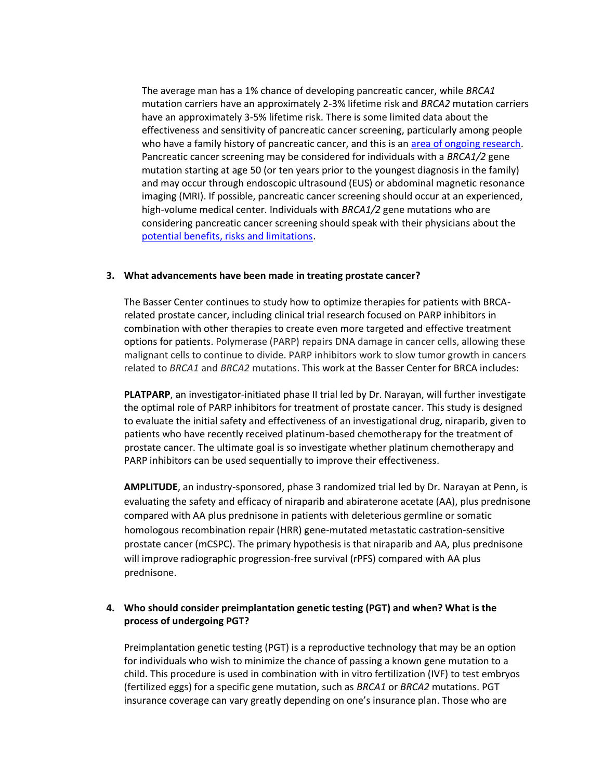The average man has a 1% chance of developing pancreatic cancer, while *BRCA1* mutation carriers have an approximately 2-3% lifetime risk and *BRCA2* mutation carriers have an approximately 3-5% lifetime risk. There is some limited data about the effectiveness and sensitivity of pancreatic cancer screening, particularly among people who have a family history of pancreatic cancer, and this is an [area of ongoing research.](https://www.pennmedicine.org/cancer/navigating-cancer-care/programs-and-centers/gastrointestinal-cancer-genetics-and-risk-evaluation-program/clinical-trials-and-research#tab-23) Pancreatic cancer screening may be considered for individuals with a *BRCA1/2* gene mutation starting at age 50 (or ten years prior to the youngest diagnosis in the family) and may occur through endoscopic ultrasound (EUS) or abdominal magnetic resonance imaging (MRI). If possible, pancreatic cancer screening should occur at an experienced, high-volume medical center. Individuals with *BRCA1/2* gene mutations who are considering pancreatic cancer screening should speak with their physicians about the [potential benefits, risks and limitations.](https://www.pennmedicine.org/cancer/navigating-cancer-care/programs-and-centers/gastrointestinal-cancer-genetics-and-risk-evaluation-program/pancreatic-cancer-risk-management)

#### **3. What advancements have been made in treating prostate cancer?**

The Basser Center continues to study how to optimize therapies for patients with BRCArelated prostate cancer, including clinical trial research focused on PARP inhibitors in combination with other therapies to create even more targeted and effective treatment options for patients. Polymerase (PARP) repairs DNA damage in cancer cells, allowing these malignant cells to continue to divide. PARP inhibitors work to slow tumor growth in cancers related to *BRCA1* and *BRCA2* mutations. This work at the Basser Center for BRCA includes:

**PLATPARP**, an investigator-initiated phase II trial led by Dr. Narayan, will further investigate the optimal role of PARP inhibitors for treatment of prostate cancer. This study is designed to evaluate the initial safety and effectiveness of an investigational drug, niraparib, given to patients who have recently received platinum-based chemotherapy for the treatment of prostate cancer. The ultimate goal is so investigate whether platinum chemotherapy and PARP inhibitors can be used sequentially to improve their effectiveness.

**AMPLITUDE**, an industry-sponsored, phase 3 randomized trial led by Dr. Narayan at Penn, is evaluating the safety and efficacy of niraparib and abiraterone acetate (AA), plus prednisone compared with AA plus prednisone in patients with deleterious germline or somatic homologous recombination repair (HRR) gene-mutated metastatic castration-sensitive prostate cancer (mCSPC). The primary hypothesis is that niraparib and AA, plus prednisone will improve radiographic progression-free survival (rPFS) compared with AA plus prednisone.

### **4. Who should consider preimplantation genetic testing (PGT) and when? What is the process of undergoing PGT?**

Preimplantation genetic testing (PGT) is a reproductive technology that may be an option for individuals who wish to minimize the chance of passing a known gene mutation to a child. This procedure is used in combination with in vitro fertilization (IVF) to test embryos (fertilized eggs) for a specific gene mutation, such as *BRCA1* or *BRCA2* mutations. PGT insurance coverage can vary greatly depending on one's insurance plan. Those who are